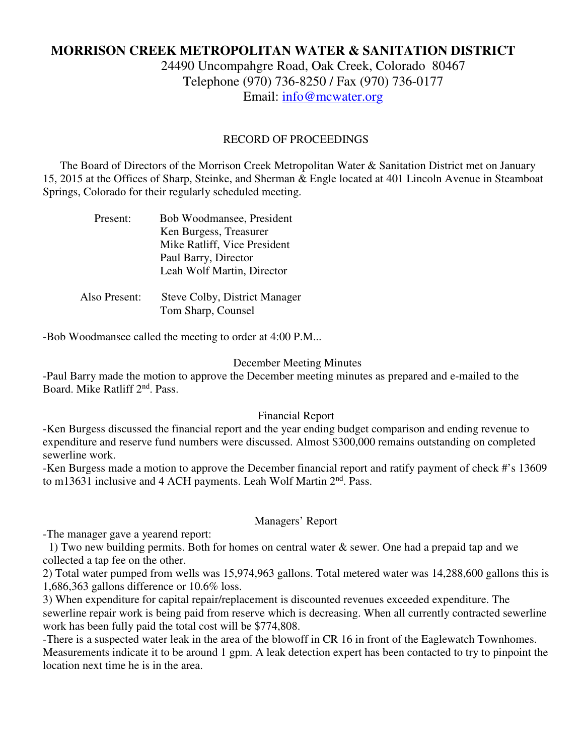# **MORRISON CREEK METROPOLITAN WATER & SANITATION DISTRICT**

24490 Uncompahgre Road, Oak Creek, Colorado 80467 Telephone (970) 736-8250 / Fax (970) 736-0177 Email: info@mcwater.org

#### RECORD OF PROCEEDINGS

 The Board of Directors of the Morrison Creek Metropolitan Water & Sanitation District met on January 15, 2015 at the Offices of Sharp, Steinke, and Sherman & Engle located at 401 Lincoln Avenue in Steamboat Springs, Colorado for their regularly scheduled meeting.

| Present:      | Bob Woodmansee, President            |
|---------------|--------------------------------------|
|               | Ken Burgess, Treasurer               |
|               | Mike Ratliff, Vice President         |
|               | Paul Barry, Director                 |
|               | Leah Wolf Martin, Director           |
|               |                                      |
| Also Present: | <b>Steve Colby, District Manager</b> |
|               | Tom Sharp, Counsel                   |

-Bob Woodmansee called the meeting to order at 4:00 P.M...

#### December Meeting Minutes

-Paul Barry made the motion to approve the December meeting minutes as prepared and e-mailed to the Board. Mike Ratliff 2nd. Pass.

#### Financial Report

-Ken Burgess discussed the financial report and the year ending budget comparison and ending revenue to expenditure and reserve fund numbers were discussed. Almost \$300,000 remains outstanding on completed sewerline work.

-Ken Burgess made a motion to approve the December financial report and ratify payment of check #'s 13609 to m13631 inclusive and 4 ACH payments. Leah Wolf Martin 2<sup>nd</sup>. Pass.

#### Managers' Report

-The manager gave a yearend report:

1) Two new building permits. Both for homes on central water  $\&$  sewer. One had a prepaid tap and we collected a tap fee on the other.

2) Total water pumped from wells was 15,974,963 gallons. Total metered water was 14,288,600 gallons this is 1,686,363 gallons difference or 10.6% loss.

3) When expenditure for capital repair/replacement is discounted revenues exceeded expenditure. The sewerline repair work is being paid from reserve which is decreasing. When all currently contracted sewerline work has been fully paid the total cost will be \$774,808.

-There is a suspected water leak in the area of the blowoff in CR 16 in front of the Eaglewatch Townhomes. Measurements indicate it to be around 1 gpm. A leak detection expert has been contacted to try to pinpoint the location next time he is in the area.